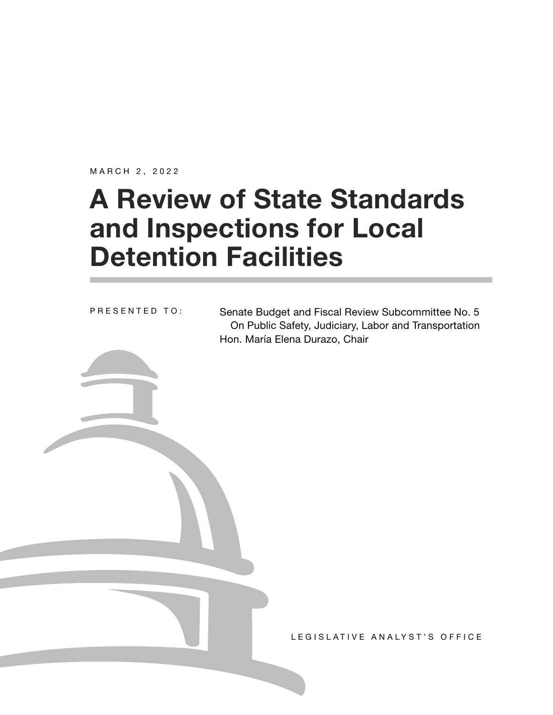MARCH 2, 2022

# **A Review of State Standards and Inspections for Local Detention Facilities**

PRESENTED TO:

Senate Budget and Fiscal Review Subcommittee No. 5 On Public Safety, Judiciary, Labor and Transportation Hon. María Elena Durazo, Chair

LEGISLATIVE ANALYST'S OFFICE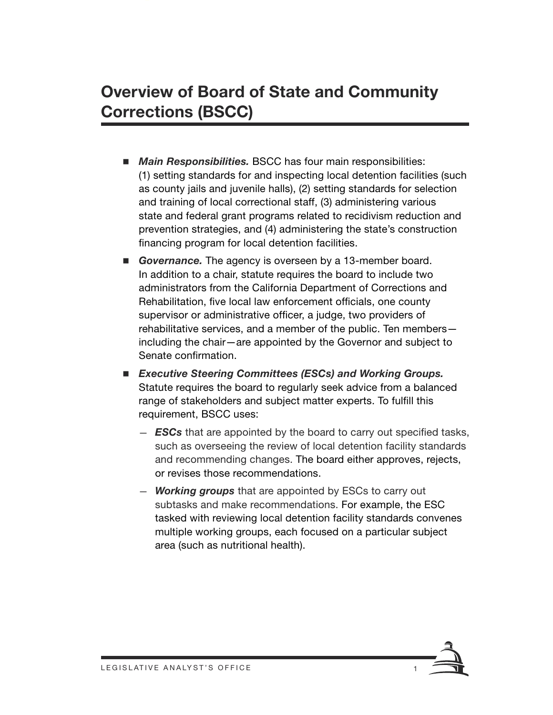## **Overview of Board of State and Community Corrections (BSCC)**

- *Main Responsibilities.* BSCC has four main responsibilities: (1) setting standards for and inspecting local detention facilities (such as county jails and juvenile halls), (2) setting standards for selection and training of local correctional staff, (3) administering various state and federal grant programs related to recidivism reduction and prevention strategies, and (4) administering the state's construction financing program for local detention facilities.
- *Governance.* The agency is overseen by a 13-member board. In addition to a chair, statute requires the board to include two administrators from the California Department of Corrections and Rehabilitation, five local law enforcement officials, one county supervisor or administrative officer, a judge, two providers of rehabilitative services, and a member of the public. Ten members including the chair—are appointed by the Governor and subject to Senate confirmation.
- *Executive Steering Committees (ESCs) and Working Groups.* Statute requires the board to regularly seek advice from a balanced range of stakeholders and subject matter experts. To fulfill this requirement, BSCC uses:
	- *ESCs* that are appointed by the board to carry out specified tasks, such as overseeing the review of local detention facility standards and recommending changes. The board either approves, rejects, or revises those recommendations.
	- *Working groups* that are appointed by ESCs to carry out subtasks and make recommendations. For example, the ESC tasked with reviewing local detention facility standards convenes multiple working groups, each focused on a particular subject area (such as nutritional health).

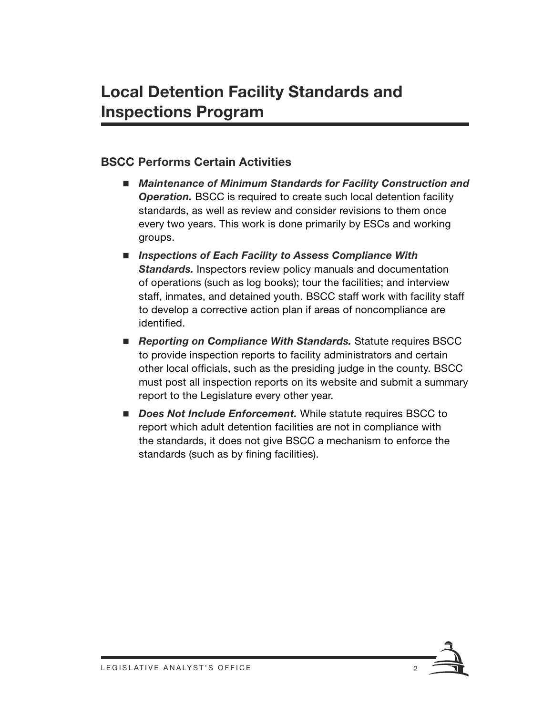#### **BSCC Performs Certain Activities**

- *Maintenance of Minimum Standards for Facility Construction and*  **Operation.** BSCC is required to create such local detention facility standards, as well as review and consider revisions to them once every two years. This work is done primarily by ESCs and working groups.
- Inspections of Each Facility to Assess Compliance With **Standards.** Inspectors review policy manuals and documentation of operations (such as log books); tour the facilities; and interview staff, inmates, and detained youth. BSCC staff work with facility staff to develop a corrective action plan if areas of noncompliance are identified.
- *Reporting on Compliance With Standards.* Statute requires BSCC to provide inspection reports to facility administrators and certain other local officials, such as the presiding judge in the county. BSCC must post all inspection reports on its website and submit a summary report to the Legislature every other year.
- *Does Not Include Enforcement.* While statute requires BSCC to report which adult detention facilities are not in compliance with the standards, it does not give BSCC a mechanism to enforce the standards (such as by fining facilities).

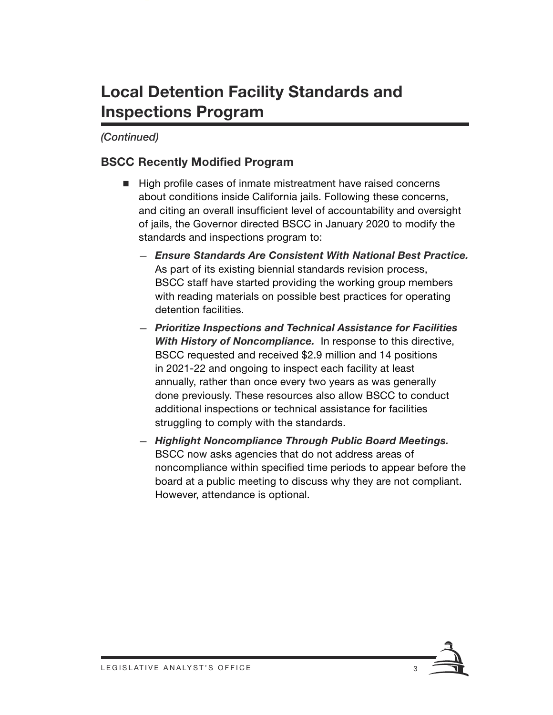## **Local Detention Facility Standards and Inspections Program**

#### *(Continued)*

#### **BSCC Recently Modified Program**

- High profile cases of inmate mistreatment have raised concerns about conditions inside California jails. Following these concerns, and citing an overall insufficient level of accountability and oversight of jails, the Governor directed BSCC in January 2020 to modify the standards and inspections program to:
	- *Ensure Standards Are Consistent With National Best Practice.*  As part of its existing biennial standards revision process, BSCC staff have started providing the working group members with reading materials on possible best practices for operating detention facilities.
	- *Prioritize Inspections and Technical Assistance for Facilities With History of Noncompliance.* In response to this directive, BSCC requested and received \$2.9 million and 14 positions in 2021-22 and ongoing to inspect each facility at least annually, rather than once every two years as was generally done previously. These resources also allow BSCC to conduct additional inspections or technical assistance for facilities struggling to comply with the standards.
	- *Highlight Noncompliance Through Public Board Meetings.*  BSCC now asks agencies that do not address areas of noncompliance within specified time periods to appear before the board at a public meeting to discuss why they are not compliant. However, attendance is optional.

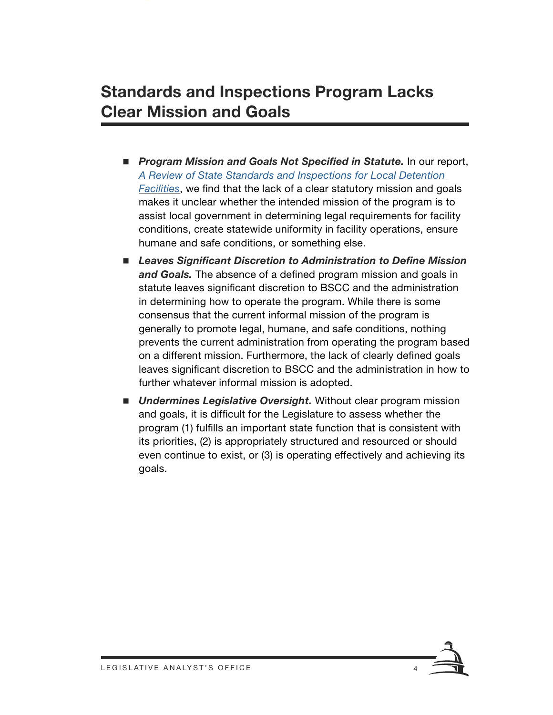### **Standards and Inspections Program Lacks Clear Mission and Goals**

- **Program Mission and Goals Not Specified in Statute.** In our report, *[A Review of State Standards and Inspections for Local Detention](https://lao.ca.gov/Publications/Report/4371)  [Facilities](https://lao.ca.gov/Publications/Report/4371)*, we find that the lack of a clear statutory mission and goals makes it unclear whether the intended mission of the program is to assist local government in determining legal requirements for facility conditions, create statewide uniformity in facility operations, ensure humane and safe conditions, or something else.
- Leaves Significant Discretion to Administration to Define Mission *and Goals.* The absence of a defined program mission and goals in statute leaves significant discretion to BSCC and the administration in determining how to operate the program. While there is some consensus that the current informal mission of the program is generally to promote legal, humane, and safe conditions, nothing prevents the current administration from operating the program based on a different mission. Furthermore, the lack of clearly defined goals leaves significant discretion to BSCC and the administration in how to further whatever informal mission is adopted.
- *Undermines Legislative Oversight.* Without clear program mission and goals, it is difficult for the Legislature to assess whether the program (1) fulfills an important state function that is consistent with its priorities, (2) is appropriately structured and resourced or should even continue to exist, or (3) is operating effectively and achieving its goals.

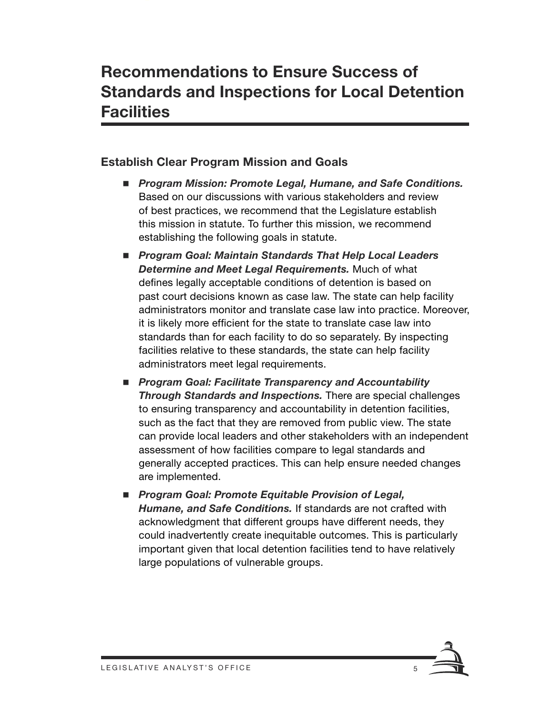#### **Establish Clear Program Mission and Goals**

- *Program Mission: Promote Legal, Humane, and Safe Conditions.*  Based on our discussions with various stakeholders and review of best practices, we recommend that the Legislature establish this mission in statute. To further this mission, we recommend establishing the following goals in statute.
- *Program Goal: Maintain Standards That Help Local Leaders Determine and Meet Legal Requirements.* Much of what defines legally acceptable conditions of detention is based on past court decisions known as case law. The state can help facility administrators monitor and translate case law into practice. Moreover, it is likely more efficient for the state to translate case law into standards than for each facility to do so separately. By inspecting facilities relative to these standards, the state can help facility administrators meet legal requirements.
- Program Goal: Facilitate Transparency and Accountability *Through Standards and Inspections.* There are special challenges to ensuring transparency and accountability in detention facilities, such as the fact that they are removed from public view. The state can provide local leaders and other stakeholders with an independent assessment of how facilities compare to legal standards and generally accepted practices. This can help ensure needed changes are implemented.
- *Program Goal: Promote Equitable Provision of Legal, Humane, and Safe Conditions.* If standards are not crafted with acknowledgment that different groups have different needs, they could inadvertently create inequitable outcomes. This is particularly important given that local detention facilities tend to have relatively large populations of vulnerable groups.

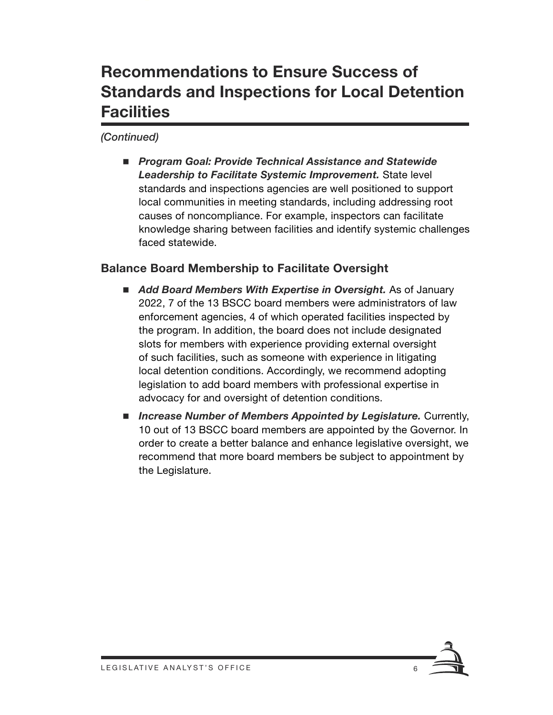### **Recommendations to Ensure Success of Standards and Inspections for Local Detention Facilities**

#### *(Continued)*

 *Program Goal: Provide Technical Assistance and Statewide Leadership to Facilitate Systemic Improvement.* State level standards and inspections agencies are well positioned to support local communities in meeting standards, including addressing root causes of noncompliance. For example, inspectors can facilitate knowledge sharing between facilities and identify systemic challenges faced statewide.

#### **Balance Board Membership to Facilitate Oversight**

- *Add Board Members With Expertise in Oversight.* As of January 2022, 7 of the 13 BSCC board members were administrators of law enforcement agencies, 4 of which operated facilities inspected by the program. In addition, the board does not include designated slots for members with experience providing external oversight of such facilities, such as someone with experience in litigating local detention conditions. Accordingly, we recommend adopting legislation to add board members with professional expertise in advocacy for and oversight of detention conditions.
- *Increase Number of Members Appointed by Legislature.* Currently, 10 out of 13 BSCC board members are appointed by the Governor. In order to create a better balance and enhance legislative oversight, we recommend that more board members be subject to appointment by the Legislature.

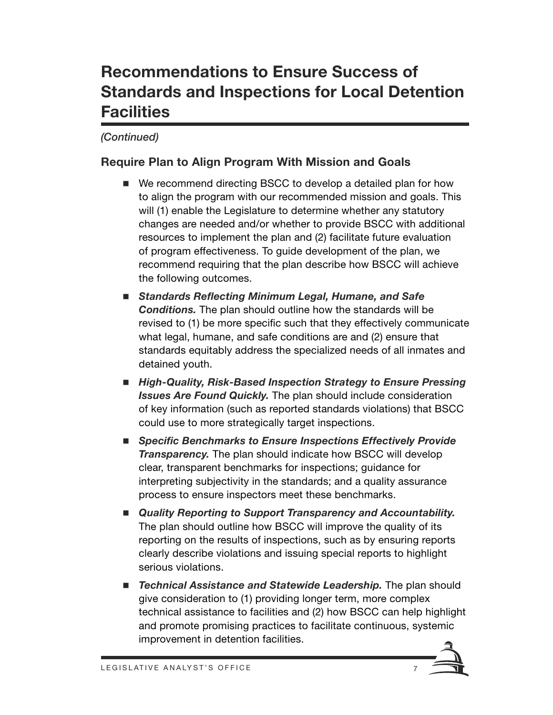### **Recommendations to Ensure Success of Standards and Inspections for Local Detention Facilities**

#### *(Continued)*

#### **Require Plan to Align Program With Mission and Goals**

- We recommend directing BSCC to develop a detailed plan for how to align the program with our recommended mission and goals. This will (1) enable the Legislature to determine whether any statutory changes are needed and/or whether to provide BSCC with additional resources to implement the plan and (2) facilitate future evaluation of program effectiveness. To guide development of the plan, we recommend requiring that the plan describe how BSCC will achieve the following outcomes.
- *Standards Reflecting Minimum Legal, Humane, and Safe Conditions.* The plan should outline how the standards will be revised to (1) be more specific such that they effectively communicate what legal, humane, and safe conditions are and (2) ensure that standards equitably address the specialized needs of all inmates and detained youth.
- High-Quality, Risk-Based Inspection Strategy to Ensure Pressing *Issues Are Found Quickly.* The plan should include consideration of key information (such as reported standards violations) that BSCC could use to more strategically target inspections.
- Specific Benchmarks to Ensure Inspections Effectively Provide *Transparency.* The plan should indicate how BSCC will develop clear, transparent benchmarks for inspections; guidance for interpreting subjectivity in the standards; and a quality assurance process to ensure inspectors meet these benchmarks.
- Quality Reporting to Support Transparency and Accountability. The plan should outline how BSCC will improve the quality of its reporting on the results of inspections, such as by ensuring reports clearly describe violations and issuing special reports to highlight serious violations.
- **Technical Assistance and Statewide Leadership.** The plan should give consideration to (1) providing longer term, more complex technical assistance to facilities and (2) how BSCC can help highlight and promote promising practices to facilitate continuous, systemic improvement in detention facilities.